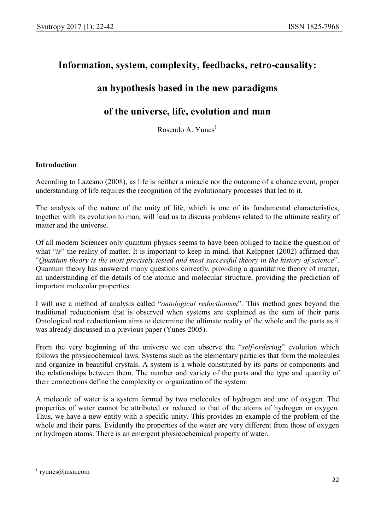# Information, system, complexity, feedbacks, retro-causality:

# an hypothesis based in the new paradigms

## of the universe, life, evolution and man

Rosendo A. Yunes<sup>1</sup>

## Introduction

According to Lazcano (2008), as life is neither a miracle nor the outcome of a chance event, proper understanding of life requires the recognition of the evolutionary processes that led to it.

The analysis of the nature of the unity of life, which is one of its fundamental characteristics, together with its evolution to man, will lead us to discuss problems related to the ultimate reality of matter and the universe.

Of all modern Sciences only quantum physics seems to have been obliged to tackle the question of what "is" the reality of matter. It is important to keep in mind, that Kelppner (2002) affirmed that "Quantum theory is the most precisely tested and most successful theory in the history of science". Quantum theory has answered many questions correctly, providing a quantitative theory of matter, an understanding of the details of the atomic and molecular structure, providing the prediction of important molecular properties.

I will use a method of analysis called "ontological reductionism". This method goes beyond the traditional reductionism that is observed when systems are explained as the sum of their parts Ontological real reductionism aims to determine the ultimate reality of the whole and the parts as it was already discussed in a previous paper (Yunes 2005).

From the very beginning of the universe we can observe the "self-ordering" evolution which follows the physicochemical laws. Systems such as the elementary particles that form the molecules and organize in beautiful crystals. A system is a whole constituted by its parts or components and the relationships between them. The number and variety of the parts and the type and quantity of their connections define the complexity or organization of the system.

A molecule of water is a system formed by two molecules of hydrogen and one of oxygen. The properties of water cannot be attributed or reduced to that of the atoms of hydrogen or oxygen. Thus, we have a new entity with a specific unity. This provides an example of the problem of the whole and their parts. Evidently the properties of the water are very different from those of oxygen or hydrogen atoms. There is an emergent physicochemical property of water.

-

<sup>1</sup> ryunes@msn.com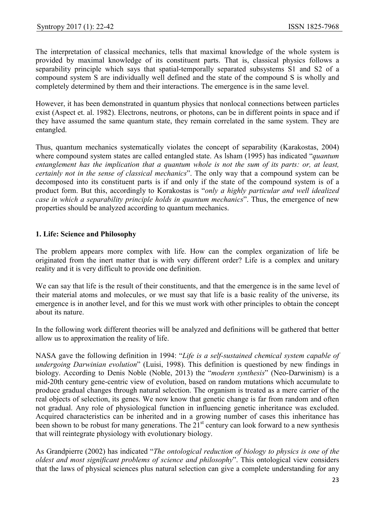The interpretation of classical mechanics, tells that maximal knowledge of the whole system is provided by maximal knowledge of its constituent parts. That is, classical physics follows a separability principle which says that spatial-temporally separated subsystems S1 and S2 of a compound system S are individually well defined and the state of the compound S is wholly and completely determined by them and their interactions. The emergence is in the same level.

However, it has been demonstrated in quantum physics that nonlocal connections between particles exist (Aspect et. al. 1982). Electrons, neutrons, or photons, can be in different points in space and if they have assumed the same quantum state, they remain correlated in the same system. They are entangled.

Thus, quantum mechanics systematically violates the concept of separability (Karakostas, 2004) where compound system states are called entangled state. As lsham (1995) has indicated "quantum entanglement has the implication that a quantum whole is not the sum of its parts: or, at least, certainly not in the sense of classical mechanics". The only way that a compound system can be decomposed into its constituent parts is if and only if the state of the compound system is of a product form. But this, accordingly to Korakostas is "only a highly particular and well idealized case in which a separability principle holds in quantum mechanics". Thus, the emergence of new properties should be analyzed according to quantum mechanics.

#### 1. Life: Science and Philosophy

The problem appears more complex with life. How can the complex organization of life be originated from the inert matter that is with very different order? Life is a complex and unitary reality and it is very difficult to provide one definition.

We can say that life is the result of their constituents, and that the emergence is in the same level of their material atoms and molecules, or we must say that life is a basic reality of the universe, its emergence is in another level, and for this we must work with other principles to obtain the concept about its nature.

In the following work different theories will be analyzed and definitions will be gathered that better allow us to approximation the reality of life.

NASA gave the following definition in 1994: "Life is a self-sustained chemical system capable of undergoing Darwinian evolution" (Luisi, 1998). This definition is questioned by new findings in biology. According to Denis Noble (Noble, 2013) the "modern synthesis" (Neo-Darwinism) is a mid-20th century gene-centric view of evolution, based on random mutations which accumulate to produce gradual changes through natural selection. The organism is treated as a mere carrier of the real objects of selection, its genes. We now know that genetic change is far from random and often not gradual. Any role of physiological function in influencing genetic inheritance was excluded. Acquired characteristics can be inherited and in a growing number of cases this inheritance has been shown to be robust for many generations. The  $21<sup>st</sup>$  century can look forward to a new synthesis that will reintegrate physiology with evolutionary biology.

As Grandpierre (2002) has indicated "The ontological reduction of biology to physics is one of the oldest and most significant problems of science and philosophy". This ontological view considers that the laws of physical sciences plus natural selection can give a complete understanding for any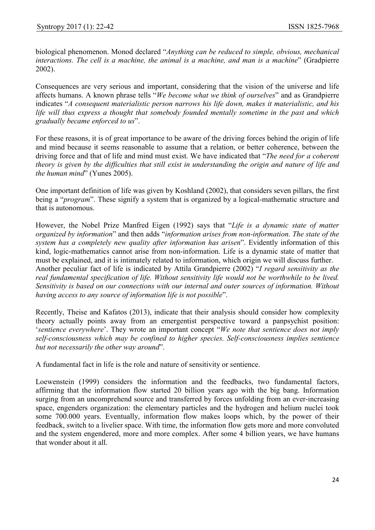biological phenomenon. Monod declared "Anything can be reduced to simple, obvious, mechanical interactions. The cell is a machine, the animal is a machine, and man is a machine" (Gradpierre 2002).

Consequences are very serious and important, considering that the vision of the universe and life affects humans. A known phrase tells "We become what we think of ourselves" and as Grandpierre indicates "A consequent materialistic person narrows his life down, makes it materialistic, and his life will thus express a thought that somebody founded mentally sometime in the past and which gradually became enforced to us".

For these reasons, it is of great importance to be aware of the driving forces behind the origin of life and mind because it seems reasonable to assume that a relation, or better coherence, between the driving force and that of life and mind must exist. We have indicated that "The need for a coherent theory is given by the difficulties that still exist in understanding the origin and nature of life and the human mind" (Yunes 2005).

One important definition of life was given by Koshland (2002), that considers seven pillars, the first being a "*program*". These signify a system that is organized by a logical-mathematic structure and that is autonomous.

However, the Nobel Prize Manfred Eigen (1992) says that "Life is a dynamic state of matter organized by information" and then adds "information arises from non-information. The state of the system has a completely new quality after information has arisen". Evidently information of this kind, logic-mathematics cannot arise from non-information. Life is a dynamic state of matter that must be explained, and it is intimately related to information, which origin we will discuss further. Another peculiar fact of life is indicated by Attila Grandpierre (2002) "I regard sensitivity as the real fundamental specification of life. Without sensitivity life would not be worthwhile to be lived. Sensitivity is based on our connections with our internal and outer sources of information. Without having access to any source of information life is not possible".

Recently, Theise and Kafatos (2013), indicate that their analysis should consider how complexity theory actually points away from an emergentist perspective toward a panpsychist position: 'sentience everywhere'. They wrote an important concept "We note that sentience does not imply self-consciousness which may be confined to higher species. Self-consciousness implies sentience but not necessarily the other way around".

A fundamental fact in life is the role and nature of sensitivity or sentience.

Loewenstein (1999) considers the information and the feedbacks, two fundamental factors, affirming that the information flow started 20 billion years ago with the big bang. Information surging from an uncomprehend source and transferred by forces unfolding from an ever-increasing space, engenders organization: the elementary particles and the hydrogen and helium nuclei took some 700.000 years. Eventually, information flow makes loops which, by the power of their feedback, switch to a livelier space. With time, the information flow gets more and more convoluted and the system engendered, more and more complex. After some 4 billion years, we have humans that wonder about it all.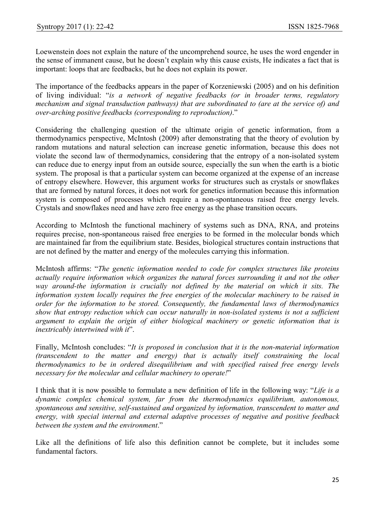Loewenstein does not explain the nature of the uncomprehend source, he uses the word engender in the sense of immanent cause, but he doesn't explain why this cause exists, He indicates a fact that is important: loops that are feedbacks, but he does not explain its power.

The importance of the feedbacks appears in the paper of Korzeniewski (2005) and on his definition of living individual: "is a network of negative feedbacks (or in broader terms, regulatory mechanism and signal transduction pathways) that are subordinated to (are at the service of) and over-arching positive feedbacks (corresponding to reproduction)."

Considering the challenging question of the ultimate origin of genetic information, from a thermodynamics perspective, McIntosh (2009) after demonstrating that the theory of evolution by random mutations and natural selection can increase genetic information, because this does not violate the second law of thermodynamics, considering that the entropy of a non-isolated system can reduce due to energy input from an outside source, especially the sun when the earth is a biotic system. The proposal is that a particular system can become organized at the expense of an increase of entropy elsewhere. However, this argument works for structures such as crystals or snowflakes that are formed by natural forces, it does not work for genetics information because this information system is composed of processes which require a non-spontaneous raised free energy levels. Crystals and snowflakes need and have zero free energy as the phase transition occurs.

According to McIntosh the functional machinery of systems such as DNA, RNA, and proteins requires precise, non-spontaneous raised free energies to be formed in the molecular bonds which are maintained far from the equilibrium state. Besides, biological structures contain instructions that are not defined by the matter and energy of the molecules carrying this information.

McIntosh affirms: "The genetic information needed to code for complex structures like proteins actually require information which organizes the natural forces surrounding it and not the other way around-the information is crucially not defined by the material on which it sits. The information system locally requires the free energies of the molecular machinery to be raised in order for the information to be stored. Consequently, the fundamental laws of thermodynamics show that entropy reduction which can occur naturally in non-isolated systems is not a sufficient argument to explain the origin of either biological machinery or genetic information that is inextricably intertwined with it".

Finally, McIntosh concludes: "It is proposed in conclusion that it is the non-material information (transcendent to the matter and energy) that is actually itself constraining the local thermodynamics to be in ordered disequilibrium and with specified raised free energy levels necessary for the molecular and cellular machinery to operate!"

I think that it is now possible to formulate a new definition of life in the following way: "Life is a dynamic complex chemical system, far from the thermodynamics equilibrium, autonomous, spontaneous and sensitive, self-sustained and organized by information, transcendent to matter and energy, with special internal and external adaptive processes of negative and positive feedback between the system and the environment."

Like all the definitions of life also this definition cannot be complete, but it includes some fundamental factors.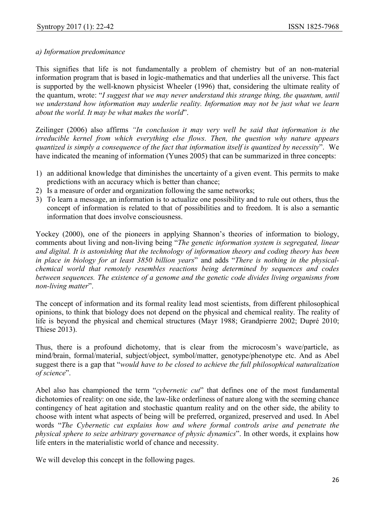### a) Information predominance

This signifies that life is not fundamentally a problem of chemistry but of an non-material information program that is based in logic-mathematics and that underlies all the universe. This fact is supported by the well-known physicist Wheeler (1996) that, considering the ultimate reality of the quantum, wrote: "I suggest that we may never understand this strange thing, the quantum, until we understand how information may underlie reality. Information may not be just what we learn about the world. It may be what makes the world".

Zeilinger (2006) also affirms "In conclusion it may very well be said that information is the irreducible kernel from which everything else flows. Then, the question why nature appears quantized is simply a consequence of the fact that information itself is quantized by necessity". We have indicated the meaning of information (Yunes 2005) that can be summarized in three concepts:

- 1) an additional knowledge that diminishes the uncertainty of a given event. This permits to make predictions with an accuracy which is better than chance;
- 2) Is a measure of order and organization following the same networks;
- 3) To learn a message, an information is to actualize one possibility and to rule out others, thus the concept of information is related to that of possibilities and to freedom. It is also a semantic information that does involve consciousness.

Yockey (2000), one of the pioneers in applying Shannon's theories of information to biology, comments about living and non-living being "The genetic information system is segregated, linear and digital. It is astonishing that the technology of information theory and coding theory has been in place in biology for at least 3850 billion years" and adds "There is nothing in the physicalchemical world that remotely resembles reactions being determined by sequences and codes between sequences. The existence of a genome and the genetic code divides living organisms from non-living matter".

The concept of information and its formal reality lead most scientists, from different philosophical opinions, to think that biology does not depend on the physical and chemical reality. The reality of life is beyond the physical and chemical structures (Mayr 1988; Grandpierre 2002; Dupré 2010; Thiese 2013).

Thus, there is a profound dichotomy, that is clear from the microcosm's wave/particle, as mind/brain, formal/material, subject/object, symbol/matter, genotype/phenotype etc. And as Abel suggest there is a gap that "would have to be closed to achieve the full philosophical naturalization of science".

Abel also has championed the term "cybernetic cut" that defines one of the most fundamental dichotomies of reality: on one side, the law-like orderliness of nature along with the seeming chance contingency of heat agitation and stochastic quantum reality and on the other side, the ability to choose with intent what aspects of being will be preferred, organized, preserved and used. In Abel words "The Cybernetic cut explains how and where formal controls arise and penetrate the physical sphere to seize arbitrary governance of physic dynamics". In other words, it explains how life enters in the materialistic world of chance and necessity.

We will develop this concept in the following pages.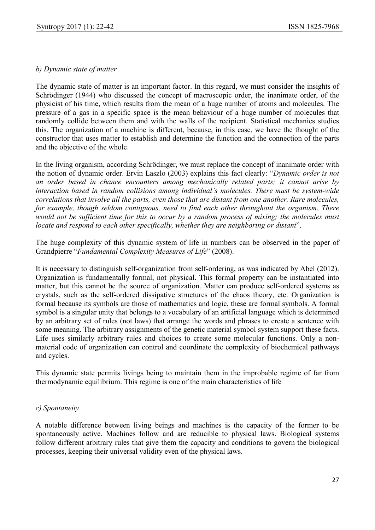#### b) Dynamic state of matter

The dynamic state of matter is an important factor. In this regard, we must consider the insights of Schrödinger (1944) who discussed the concept of macroscopic order, the inanimate order, of the physicist of his time, which results from the mean of a huge number of atoms and molecules. The pressure of a gas in a specific space is the mean behaviour of a huge number of molecules that randomly collide between them and with the walls of the recipient. Statistical mechanics studies this. The organization of a machine is different, because, in this case, we have the thought of the constructor that uses matter to establish and determine the function and the connection of the parts and the objective of the whole.

In the living organism, according Schrödinger, we must replace the concept of inanimate order with the notion of dynamic order. Ervin Laszlo (2003) explains this fact clearly: "Dynamic order is not an order based in chance encounters among mechanically related parts; it cannot arise by interaction based in random collisions among individual's molecules. There must be system-wide correlations that involve all the parts, even those that are distant from one another. Rare molecules, for example, though seldom contiguous, need to find each other throughout the organism. There would not be sufficient time for this to occur by a random process of mixing; the molecules must locate and respond to each other specifically, whether they are neighboring or distant".

The huge complexity of this dynamic system of life in numbers can be observed in the paper of Grandpierre "Fundamental Complexity Measures of Life" (2008).

It is necessary to distinguish self-organization from self-ordering, as was indicated by Abel (2012). Organization is fundamentally formal, not physical. This formal property can be instantiated into matter, but this cannot be the source of organization. Matter can produce self-ordered systems as crystals, such as the self-ordered dissipative structures of the chaos theory, etc. Organization is formal because its symbols are those of mathematics and logic, these are formal symbols. A formal symbol is a singular unity that belongs to a vocabulary of an artificial language which is determined by an arbitrary set of rules (not laws) that arrange the words and phrases to create a sentence with some meaning. The arbitrary assignments of the genetic material symbol system support these facts. Life uses similarly arbitrary rules and choices to create some molecular functions. Only a nonmaterial code of organization can control and coordinate the complexity of biochemical pathways and cycles.

This dynamic state permits livings being to maintain them in the improbable regime of far from thermodynamic equilibrium. This regime is one of the main characteristics of life

#### c) Spontaneity

A notable difference between living beings and machines is the capacity of the former to be spontaneously active. Machines follow and are reducible to physical laws. Biological systems follow different arbitrary rules that give them the capacity and conditions to govern the biological processes, keeping their universal validity even of the physical laws.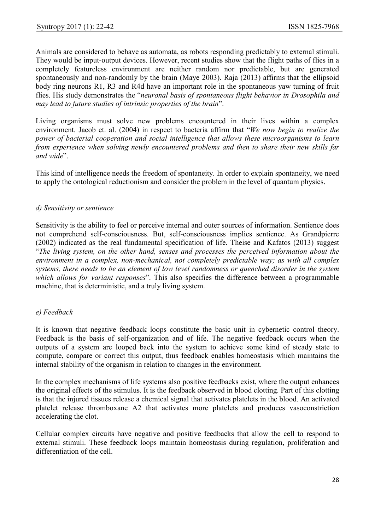Animals are considered to behave as automata, as robots responding predictably to external stimuli. They would be input-output devices. However, recent studies show that the flight paths of flies in a completely featureless environment are neither random nor predictable, but are generated spontaneously and non-randomly by the brain (Maye 2003). Raja (2013) affirms that the ellipsoid body ring neurons R1, R3 and R4d have an important role in the spontaneous yaw turning of fruit flies. His study demonstrates the "neuronal basis of spontaneous flight behavior in Drosophila and may lead to future studies of intrinsic properties of the brain".

Living organisms must solve new problems encountered in their lives within a complex environment. Jacob et. al. (2004) in respect to bacteria affirm that "We now begin to realize the power of bacterial cooperation and social intelligence that allows these microorganisms to learn from experience when solving newly encountered problems and then to share their new skills far and wide".

This kind of intelligence needs the freedom of spontaneity. In order to explain spontaneity, we need to apply the ontological reductionism and consider the problem in the level of quantum physics.

### d) Sensitivity or sentience

Sensitivity is the ability to feel or perceive internal and outer sources of information. Sentience does not comprehend self-consciousness. But, self-consciousness implies sentience. As Grandpierre (2002) indicated as the real fundamental specification of life. Theise and Kafatos (2013) suggest "The living system, on the other hand, senses and processes the perceived information about the environment in a complex, non-mechanical, not completely predictable way; as with all complex systems, there needs to be an element of low level randomness or quenched disorder in the system which allows for variant responses". This also specifies the difference between a programmable machine, that is deterministic, and a truly living system.

### e) Feedback

It is known that negative feedback loops constitute the basic unit in cybernetic control theory. Feedback is the basis of self-organization and of life. The negative feedback occurs when the outputs of a system are looped back into the system to achieve some kind of steady state to compute, compare or correct this output, thus feedback enables homeostasis which maintains the internal stability of the organism in relation to changes in the environment.

In the complex mechanisms of life systems also positive feedbacks exist, where the output enhances the original effects of the stimulus. It is the feedback observed in blood clotting. Part of this clotting is that the injured tissues release a chemical signal that activates platelets in the blood. An activated platelet release thromboxane A2 that activates more platelets and produces vasoconstriction accelerating the clot.

Cellular complex circuits have negative and positive feedbacks that allow the cell to respond to external stimuli. These feedback loops maintain homeostasis during regulation, proliferation and differentiation of the cell.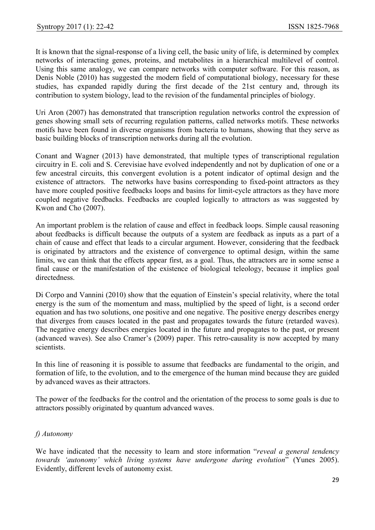It is known that the signal-response of a living cell, the basic unity of life, is determined by complex networks of interacting genes, proteins, and metabolites in a hierarchical multilevel of control. Using this same analogy, we can compare networks with computer software. For this reason, as Denis Noble (2010) has suggested the modern field of computational biology, necessary for these studies, has expanded rapidly during the first decade of the 21st century and, through its contribution to system biology, lead to the revision of the fundamental principles of biology.

Uri Aron (2007) has demonstrated that transcription regulation networks control the expression of genes showing small sets of recurring regulation patterns, called networks motifs. These networks motifs have been found in diverse organisms from bacteria to humans, showing that they serve as basic building blocks of transcription networks during all the evolution.

Conant and Wagner (2013) have demonstrated, that multiple types of transcriptional regulation circuitry in E. coli and S. Cerevisiae have evolved independently and not by duplication of one or a few ancestral circuits, this convergent evolution is a potent indicator of optimal design and the existence of attractors. The networks have basins corresponding to fixed-point attractors as they have more coupled positive feedbacks loops and basins for limit-cycle attractors as they have more coupled negative feedbacks. Feedbacks are coupled logically to attractors as was suggested by Kwon and Cho (2007).

An important problem is the relation of cause and effect in feedback loops. Simple causal reasoning about feedbacks is difficult because the outputs of a system are feedback as inputs as a part of a chain of cause and effect that leads to a circular argument. However, considering that the feedback is originated by attractors and the existence of convergence to optimal design, within the same limits, we can think that the effects appear first, as a goal. Thus, the attractors are in some sense a final cause or the manifestation of the existence of biological teleology, because it implies goal directedness.

Di Corpo and Vannini (2010) show that the equation of Einstein's special relativity, where the total energy is the sum of the momentum and mass, multiplied by the speed of light, is a second order equation and has two solutions, one positive and one negative. The positive energy describes energy that diverges from causes located in the past and propagates towards the future (retarded waves). The negative energy describes energies located in the future and propagates to the past, or present (advanced waves). See also Cramer's (2009) paper. This retro-causality is now accepted by many scientists.

In this line of reasoning it is possible to assume that feedbacks are fundamental to the origin, and formation of life, to the evolution, and to the emergence of the human mind because they are guided by advanced waves as their attractors.

The power of the feedbacks for the control and the orientation of the process to some goals is due to attractors possibly originated by quantum advanced waves.

### f) Autonomy

We have indicated that the necessity to learn and store information "reveal a general tendency" towards 'autonomy' which living systems have undergone during evolution" (Yunes 2005). Evidently, different levels of autonomy exist.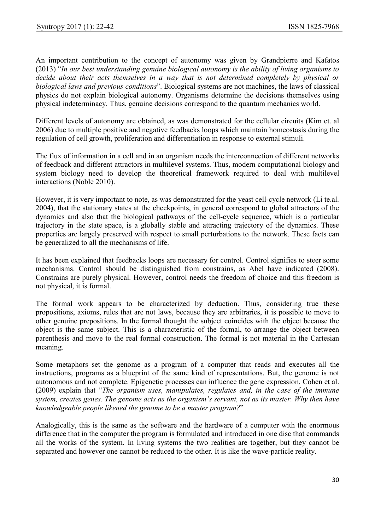An important contribution to the concept of autonomy was given by Grandpierre and Kafatos (2013) "In our best understanding genuine biological autonomy is the ability of living organisms to decide about their acts themselves in a way that is not determined completely by physical or biological laws and previous conditions". Biological systems are not machines, the laws of classical physics do not explain biological autonomy. Organisms determine the decisions themselves using physical indeterminacy. Thus, genuine decisions correspond to the quantum mechanics world.

Different levels of autonomy are obtained, as was demonstrated for the cellular circuits (Kim et. al 2006) due to multiple positive and negative feedbacks loops which maintain homeostasis during the regulation of cell growth, proliferation and differentiation in response to external stimuli.

The flux of information in a cell and in an organism needs the interconnection of different networks of feedback and different attractors in multilevel systems. Thus, modern computational biology and system biology need to develop the theoretical framework required to deal with multilevel interactions (Noble 2010).

However, it is very important to note, as was demonstrated for the yeast cell-cycle network (Li te.al. 2004), that the stationary states at the checkpoints, in general correspond to global attractors of the dynamics and also that the biological pathways of the cell-cycle sequence, which is a particular trajectory in the state space, is a globally stable and attracting trajectory of the dynamics. These properties are largely preserved with respect to small perturbations to the network. These facts can be generalized to all the mechanisms of life.

It has been explained that feedbacks loops are necessary for control. Control signifies to steer some mechanisms. Control should be distinguished from constrains, as Abel have indicated (2008). Constrains are purely physical. However, control needs the freedom of choice and this freedom is not physical, it is formal.

The formal work appears to be characterized by deduction. Thus, considering true these propositions, axioms, rules that are not laws, because they are arbitraries, it is possible to move to other genuine prepositions. In the formal thought the subject coincides with the object because the object is the same subject. This is a characteristic of the formal, to arrange the object between parenthesis and move to the real formal construction. The formal is not material in the Cartesian meaning.

Some metaphors set the genome as a program of a computer that reads and executes all the instructions, programs as a blueprint of the same kind of representations. But, the genome is not autonomous and not complete. Epigenetic processes can influence the gene expression. Cohen et al. (2009) explain that "The organism uses, manipulates, regulates and, in the case of the immune system, creates genes. The genome acts as the organism's servant, not as its master. Why then have knowledgeable people likened the genome to be a master program?"

Analogically, this is the same as the software and the hardware of a computer with the enormous difference that in the computer the program is formulated and introduced in one disc that commands all the works of the system. In living systems the two realities are together, but they cannot be separated and however one cannot be reduced to the other. It is like the wave-particle reality.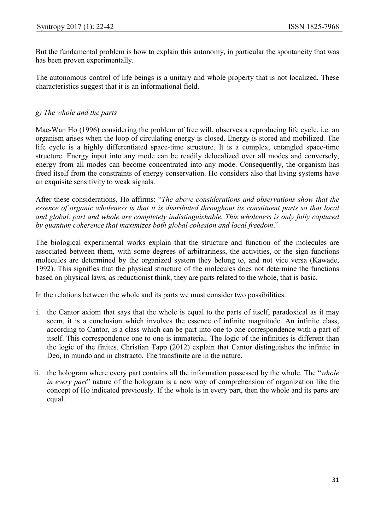But the fundamental problem is how to explain this autonomy, in particular the spontaneity that was has been proven experimentally.

The autonomous control of life beings is a unitary and whole property that is not localized. These characteristics suggest that it is an informational field.

## g) The whole and the parts

Mae-Wan Ho (1996) considering the problem of free will, observes a reproducing life cycle, i.e. an organism arises when the loop of circulating energy is closed. Energy is stored and mobilized. The life cycle is a highly differentiated space-time structure. It is a complex, entangled space-time structure. Energy input into any mode can be readily delocalized over all modes and conversely, energy from all modes can become concentrated into any mode. Consequently, the organism has freed itself from the constraints of energy conservation. Ho considers also that living systems have an exquisite sensitivity to weak signals.

After these considerations, Ho affirms: "The above considerations and observations show that the essence of organic wholeness is that it is distributed throughout its constituent parts so that local and global, part and whole are completely indistinguishable. This wholeness is only fully captured by quantum coherence that maximizes both global cohesion and local freedom."

The biological experimental works explain that the structure and function of the molecules are associated between them, with some degrees of arbitrariness, the activities, or the sign functions molecules are determined by the organized system they belong to, and not vice versa (Kawade, 1992). This signifies that the physical structure of the molecules does not determine the functions based on physical laws, as reductionist think, they are parts related to the whole, that is basic.

In the relations between the whole and its parts we must consider two possibilities:

- i. the Cantor axiom that says that the whole is equal to the parts of itself, paradoxical as it may seem, it is a conclusion which involves the essence of infinite magnitude. An infinite class, according to Cantor, is a class which can be part into one to one correspondence with a part of itself. This correspondence one to one is immaterial. The logic of the infinities is different than the logic of the finites. Christian Tapp (2012) explain that Cantor distinguishes the infinite in Deo, in mundo and in abstracto. The transfinite are in the nature.
- ii. the hologram where every part contains all the information possessed by the whole. The "whole in every part" nature of the hologram is a new way of comprehension of organization like the concept of Ho indicated previously. If the whole is in every part, then the whole and its parts are equal.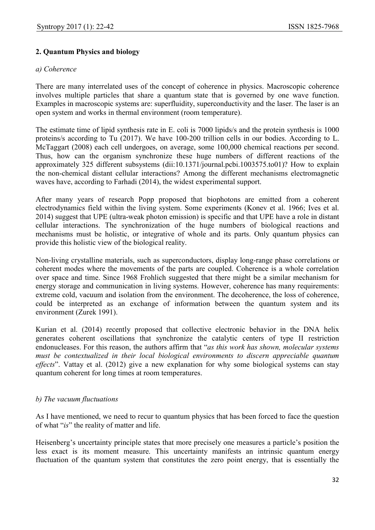## 2. Quantum Physics and biology

#### a) Coherence

There are many interrelated uses of the concept of coherence in physics. Macroscopic coherence involves multiple particles that share a quantum state that is governed by one wave function. Examples in macroscopic systems are: superfluidity, superconductivity and the laser. The laser is an open system and works in thermal environment (room temperature).

The estimate time of lipid synthesis rate in E. coli is 7000 lipids/s and the protein synthesis is 1000 proteins/s according to Tu (2017). We have 100-200 trillion cells in our bodies. According to L. McTaggart (2008) each cell undergoes, on average, some 100,000 chemical reactions per second. Thus, how can the organism synchronize these huge numbers of different reactions of the approximately 325 different subsystems (dii:10.1371/journal.pcbi.1003575.to01)? How to explain the non-chemical distant cellular interactions? Among the different mechanisms electromagnetic waves have, according to Farhadi (2014), the widest experimental support.

After many years of research Popp proposed that biophotons are emitted from a coherent electrodynamics field within the living system. Some experiments (Konev et al. 1966; Ives et al. 2014) suggest that UPE (ultra-weak photon emission) is specific and that UPE have a role in distant cellular interactions. The synchronization of the huge numbers of biological reactions and mechanisms must be holistic, or integrative of whole and its parts. Only quantum physics can provide this holistic view of the biological reality.

Non-living crystalline materials, such as superconductors, display long-range phase correlations or coherent modes where the movements of the parts are coupled. Coherence is a whole correlation over space and time. Since 1968 Frohlich suggested that there might be a similar mechanism for energy storage and communication in living systems. However, coherence has many requirements: extreme cold, vacuum and isolation from the environment. The decoherence, the loss of coherence, could be interpreted as an exchange of information between the quantum system and its environment (Zurek 1991).

Kurian et al. (2014) recently proposed that collective electronic behavior in the DNA helix generates coherent oscillations that synchronize the catalytic centers of type II restriction endonucleases. For this reason, the authors affirm that "as this work has shown, molecular systems must be contextualized in their local biological environments to discern appreciable quantum effects". Vattay et al. (2012) give a new explanation for why some biological systems can stay quantum coherent for long times at room temperatures.

### b) The vacuum fluctuations

As I have mentioned, we need to recur to quantum physics that has been forced to face the question of what "is" the reality of matter and life.

Heisenberg's uncertainty principle states that more precisely one measures a particle's position the less exact is its moment measure. This uncertainty manifests an intrinsic quantum energy fluctuation of the quantum system that constitutes the zero point energy, that is essentially the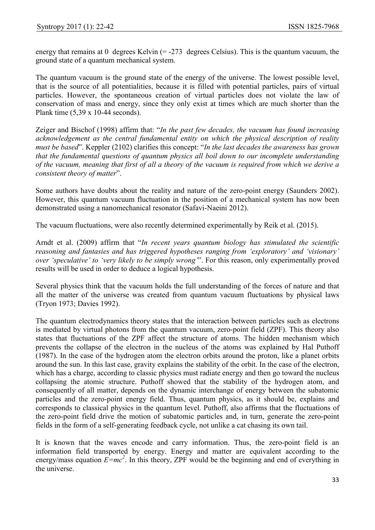energy that remains at  $0$  degrees Kelvin (= -273 degrees Celsius). This is the quantum vacuum, the ground state of a quantum mechanical system.

The quantum vacuum is the ground state of the energy of the universe. The lowest possible level, that is the source of all potentialities, because it is filled with potential particles, pairs of virtual particles. However, the spontaneous creation of virtual particles does not violate the law of conservation of mass and energy, since they only exist at times which are much shorter than the Plank time (5,39 x 10-44 seconds).

Zeiger and Bischof (1998) affirm that: "In the past few decades, the vacuum has found increasing acknowledgement as the central fundamental entity on which the physical description of reality must be based". Keppler (2102) clarifies this concept: "In the last decades the awareness has grown that the fundamental questions of quantum physics all boil down to our incomplete understanding of the vacuum, meaning that first of all a theory of the vacuum is required from which we derive a consistent theory of matter".

Some authors have doubts about the reality and nature of the zero-point energy (Saunders 2002). However, this quantum vacuum fluctuation in the position of a mechanical system has now been demonstrated using a nanomechanical resonator (Safavi-Naeini 2012).

The vacuum fluctuations, were also recently determined experimentally by Reik et al. (2015).

Arndt et al. (2009) affirm that "In recent years quantum biology has stimulated the scientific reasoning and fantasies and has triggered hypotheses ranging from 'exploratory' and 'visionary' over 'speculative' to 'very likely to be simply wrong'". For this reason, only experimentally proved results will be used in order to deduce a logical hypothesis.

Several physics think that the vacuum holds the full understanding of the forces of nature and that all the matter of the universe was created from quantum vacuum fluctuations by physical laws (Tryon 1973; Davies 1992).

The quantum electrodynamics theory states that the interaction between particles such as electrons is mediated by virtual photons from the quantum vacuum, zero-point field (ZPF). This theory also states that fluctuations of the ZPF affect the structure of atoms. The hidden mechanism which prevents the collapse of the electron in the nucleus of the atoms was explained by Hal Puthoff (1987). In the case of the hydrogen atom the electron orbits around the proton, like a planet orbits around the sun. In this last case, gravity explains the stability of the orbit. In the case of the electron, which has a charge, according to classic physics must radiate energy and then go toward the nucleus collapsing the atomic structure. Puthoff showed that the stability of the hydrogen atom, and consequently of all matter, depends on the dynamic interchange of energy between the subatomic particles and the zero-point energy field. Thus, quantum physics, as it should be, explains and corresponds to classical physics in the quantum level. Puthoff, also affirms that the fluctuations of the zero-point field drive the motion of subatomic particles and, in turn, generate the zero-point fields in the form of a self-generating feedback cycle, not unlike a cat chasing its own tail.

It is known that the waves encode and carry information. Thus, the zero-point field is an information field transported by energy. Energy and matter are equivalent according to the energy/mass equation  $E=mc^2$ . In this theory, ZPF would be the beginning and end of everything in the universe.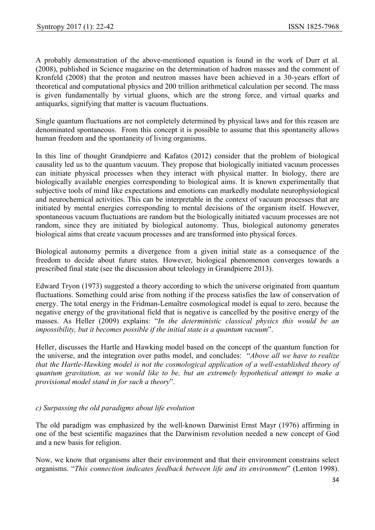A probably demonstration of the above-mentioned equation is found in the work of Durr et al. (2008), published in Science magazine on the determination of hadron masses and the comment of Kronfeld (2008) that the proton and neutron masses have been achieved in a 30-years effort of theoretical and computational physics and 200 trillion arithmetical calculation per second. The mass is given fundamentally by virtual gluons, which are the strong force, and virtual quarks and antiquarks, signifying that matter is vacuum fluctuations.

Single quantum fluctuations are not completely determined by physical laws and for this reason are denominated spontaneous. From this concept it is possible to assume that this spontaneity allows human freedom and the spontaneity of living organisms.

In this line of thought Grandpierre and Kafatos (2012) consider that the problem of biological causality led us to the quantum vacuum. They propose that biologically initiated vacuum processes can initiate physical processes when they interact with physical matter. In biology, there are biologically available energies corresponding to biological aims. It is known experimentally that subjective tools of mind like expectations and emotions can markedly modulate neurophysiological and neurochemical activities. This can be interpretable in the context of vacuum processes that are initiated by mental energies corresponding to mental decisions of the organism itself. However, spontaneous vacuum fluctuations are random but the biologically initiated vacuum processes are not random, since they are initiated by biological autonomy. Thus, biological autonomy generates biological aims that create vacuum processes and are transformed into physical forces.

Biological autonomy permits a divergence from a given initial state as a consequence of the freedom to decide about future states. However, biological phenomenon converges towards a prescribed final state (see the discussion about teleology in Grandpierre 2013).

Edward Tryon (1973) suggested a theory according to which the universe originated from quantum fluctuations. Something could arise from nothing if the process satisfies the law of conservation of energy. The total energy in the Fridman-Lemaître cosmological model is equal to zero, because the negative energy of the gravitational field that is negative is cancelled by the positive energy of the masses. As Heller (2009) explains: "In the deterministic classical physics this would be an impossibility, but it becomes possible if the initial state is a quantum vacuum".

Heller, discusses the Hartle and Hawking model based on the concept of the quantum function for the universe, and the integration over paths model, and concludes: "Above all we have to realize that the Hartle-Hawking model is not the cosmological application of a well-established theory of quantum gravitation, as we would like to be, but an extremely hypothetical attempt to make a provisional model stand in for such a theory".

### c) Surpassing the old paradigms about life evolution

The old paradigm was emphasized by the well-known Darwinist Ernst Mayr (1976) affirming in one of the best scientific magazines that the Darwinism revolution needed a new concept of God and a new basis for religion.

Now, we know that organisms alter their environment and that their environment constrains select organisms. "This connection indicates feedback between life and its environment" (Lenton 1998).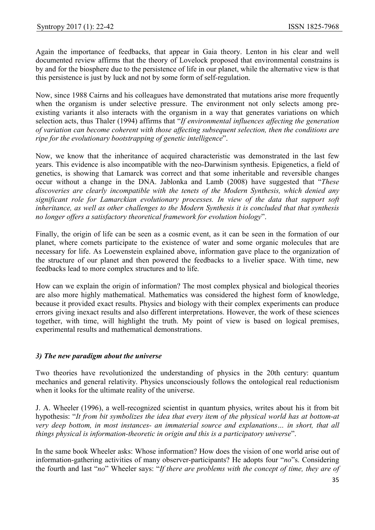Again the importance of feedbacks, that appear in Gaia theory. Lenton in his clear and well documented review affirms that the theory of Lovelock proposed that environmental constrains is by and for the biosphere due to the persistence of life in our planet, while the alternative view is that this persistence is just by luck and not by some form of self-regulation.

Now, since 1988 Cairns and his colleagues have demonstrated that mutations arise more frequently when the organism is under selective pressure. The environment not only selects among preexisting variants it also interacts with the organism in a way that generates variations on which selection acts, thus Thaler (1994) affirms that "If environmental influences affecting the generation of variation can become coherent with those affecting subsequent selection, then the conditions are ripe for the evolutionary bootstrapping of genetic intelligence".

Now, we know that the inheritance of acquired characteristic was demonstrated in the last few years. This evidence is also incompatible with the neo-Darwinism synthesis. Epigenetics, a field of genetics, is showing that Lamarck was correct and that some inheritable and reversible changes occur without a change in the DNA. Jablonka and Lamb (2008) have suggested that "These discoveries are clearly incompatible with the tenets of the Modern Synthesis, which denied any significant role for Lamarckian evolutionary processes. In view of the data that support soft inheritance, as well as other challenges to the Modern Synthesis it is concluded that that synthesis no longer offers a satisfactory theoretical framework for evolution biology".

Finally, the origin of life can be seen as a cosmic event, as it can be seen in the formation of our planet, where comets participate to the existence of water and some organic molecules that are necessary for life. As Loewenstein explained above, information gave place to the organization of the structure of our planet and then powered the feedbacks to a livelier space. With time, new feedbacks lead to more complex structures and to life.

How can we explain the origin of information? The most complex physical and biological theories are also more highly mathematical. Mathematics was considered the highest form of knowledge, because it provided exact results. Physics and biology with their complex experiments can produce errors giving inexact results and also different interpretations. However, the work of these sciences together, with time, will highlight the truth. My point of view is based on logical premises, experimental results and mathematical demonstrations.

### 3) The new paradigm about the universe

Two theories have revolutionized the understanding of physics in the 20th century: quantum mechanics and general relativity. Physics unconsciously follows the ontological real reductionism when it looks for the ultimate reality of the universe.

J. A. Wheeler (1996), a well-recognized scientist in quantum physics, writes about his it from bit hypothesis: "It from bit symbolizes the idea that every item of the physical world has at bottom-at very deep bottom, in most instances- an immaterial source and explanations… in short, that all things physical is information-theoretic in origin and this is a participatory universe".

In the same book Wheeler asks: Whose information? How does the vision of one world arise out of information-gathering activities of many observer-participants? He adopts four "no"s. Considering the fourth and last "no" Wheeler says: "If there are problems with the concept of time, they are of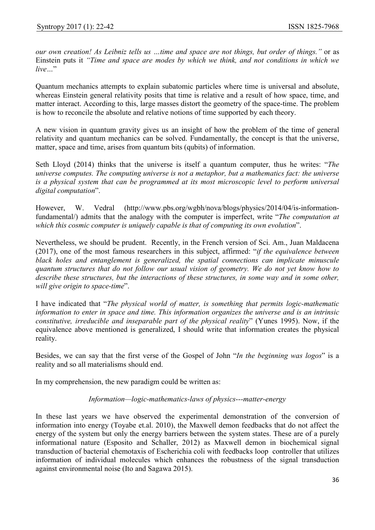our own creation! As Leibniz tells us …time and space are not things, but order of things." or as Einstein puts it "Time and space are modes by which we think, and not conditions in which we  $live<sup>''</sup>$ 

Quantum mechanics attempts to explain subatomic particles where time is universal and absolute, whereas Einstein general relativity posits that time is relative and a result of how space, time, and matter interact. According to this, large masses distort the geometry of the space-time. The problem is how to reconcile the absolute and relative notions of time supported by each theory.

A new vision in quantum gravity gives us an insight of how the problem of the time of general relativity and quantum mechanics can be solved. Fundamentally, the concept is that the universe, matter, space and time, arises from quantum bits (qubits) of information.

Seth Lloyd (2014) thinks that the universe is itself a quantum computer, thus he writes: "The universe computes. The computing universe is not a metaphor, but a mathematics fact: the universe is a physical system that can be programmed at its most microscopic level to perform universal digital computation".

However, W. Vedral (http://www.pbs.org/wgbh/nova/blogs/physics/2014/04/is-informationfundamental/) admits that the analogy with the computer is imperfect, write "The computation at which this cosmic computer is uniquely capable is that of computing its own evolution".

Nevertheless, we should be prudent. Recently, in the French version of Sci. Am., Juan Maldacena (2017), one of the most famous researchers in this subject, affirmed: "if the equivalence between black holes and entanglement is generalized, the spatial connections can implicate minuscule quantum structures that do not follow our usual vision of geometry. We do not yet know how to describe these structures, but the interactions of these structures, in some way and in some other, will give origin to space-time".

I have indicated that "The physical world of matter, is something that permits logic-mathematic information to enter in space and time. This information organizes the universe and is an intrinsic constitutive, irreducible and inseparable part of the physical reality" (Yunes 1995). Now, if the equivalence above mentioned is generalized, I should write that information creates the physical reality.

Besides, we can say that the first verse of the Gospel of John "In the beginning was logos" is a reality and so all materialisms should end.

In my comprehension, the new paradigm could be written as:

#### Information—logic-mathematics-laws of physics---matter-energy

In these last years we have observed the experimental demonstration of the conversion of information into energy (Toyabe et.al. 2010), the Maxwell demon feedbacks that do not affect the energy of the system but only the energy barriers between the system states. These are of a purely informational nature (Esposito and Schaller, 2012) as Maxwell demon in biochemical signal transduction of bacterial chemotaxis of Escherichia coli with feedbacks loop controller that utilizes information of individual molecules which enhances the robustness of the signal transduction against environmental noise (Ito and Sagawa 2015).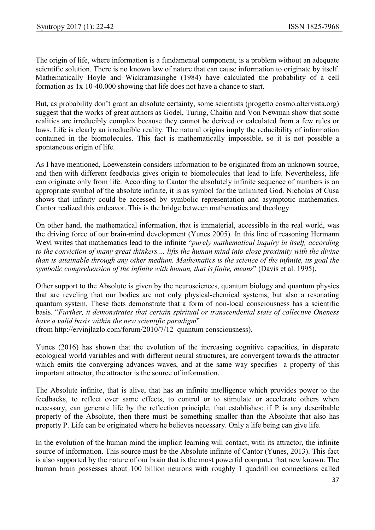The origin of life, where information is a fundamental component, is a problem without an adequate scientific solution. There is no known law of nature that can cause information to originate by itself. Mathematically Hoyle and Wickramasinghe (1984) have calculated the probability of a cell formation as 1x 10-40.000 showing that life does not have a chance to start.

But, as probability don't grant an absolute certainty, some scientists (progetto cosmo.altervista.org) suggest that the works of great authors as Godel, Turing, Chaitin and Von Newman show that some realities are irreducibly complex because they cannot be derived or calculated from a few rules or laws. Life is clearly an irreducible reality. The natural origins imply the reducibility of information contained in the biomolecules. This fact is mathematically impossible, so it is not possible a spontaneous origin of life.

As I have mentioned, Loewenstein considers information to be originated from an unknown source, and then with different feedbacks gives origin to biomolecules that lead to life. Nevertheless, life can originate only from life. According to Cantor the absolutely infinite sequence of numbers is an appropriate symbol of the absolute infinite, it is as symbol for the unlimited God. Nicholas of Cusa shows that infinity could be accessed by symbolic representation and asymptotic mathematics. Cantor realized this endeavor. This is the bridge between mathematics and theology.

On other hand, the mathematical information, that is immaterial, accessible in the real world, was the driving force of our brain-mind development (Yunes 2005). In this line of reasoning Hermann Weyl writes that mathematics lead to the infinite "purely mathematical inquiry in itself, according to the conviction of many great thinkers.... lifts the human mind into close proximity with the divine than is attainable through any other medium. Mathematics is the science of the infinite, its goal the symbolic comprehension of the infinite with human, that is finite, means" (Davis et al. 1995).

Other support to the Absolute is given by the neurosciences, quantum biology and quantum physics that are reveling that our bodies are not only physical-chemical systems, but also a resonating quantum system. These facts demonstrate that a form of non-local consciousness has a scientific basis. "Further, it demonstrates that certain spiritual or transcendental state of collective Oneness have a valid basis within the new scientific paradigm"

(from http://ervinjlazlo.com/forum/2010/7/12 quantum consciousness).

Yunes (2016) has shown that the evolution of the increasing cognitive capacities, in disparate ecological world variables and with different neural structures, are convergent towards the attractor which emits the converging advances waves, and at the same way specifies a property of this important attractor, the attractor is the source of information.

The Absolute infinite, that is alive, that has an infinite intelligence which provides power to the feedbacks, to reflect over same effects, to control or to stimulate or accelerate others when necessary, can generate life by the reflection principle, that establishes: if P is any describable property of the Absolute, then there must be something smaller than the Absolute that also has property P. Life can be originated where he believes necessary. Only a life being can give life.

In the evolution of the human mind the implicit learning will contact, with its attractor, the infinite source of information. This source must be the Absolute infinite of Cantor (Yunes, 2013). This fact is also supported by the nature of our brain that is the most powerful computer that new known. The human brain possesses about 100 billion neurons with roughly 1 quadrillion connections called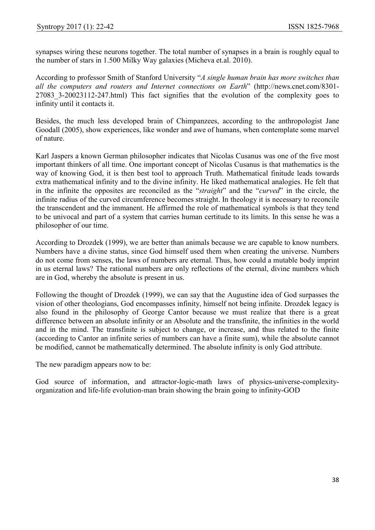synapses wiring these neurons together. The total number of synapses in a brain is roughly equal to the number of stars in 1.500 Milky Way galaxies (Micheva et.al. 2010).

According to professor Smith of Stanford University "A single human brain has more switches than all the computers and routers and Internet connections on Earth" (http://news.cnet.com/8301- 27083\_3-20023112-247.html) This fact signifies that the evolution of the complexity goes to infinity until it contacts it.

Besides, the much less developed brain of Chimpanzees, according to the anthropologist Jane Goodall (2005), show experiences, like wonder and awe of humans, when contemplate some marvel of nature.

Karl Jaspers a known German philosopher indicates that Nicolas Cusanus was one of the five most important thinkers of all time. One important concept of Nicolas Cusanus is that mathematics is the way of knowing God, it is then best tool to approach Truth. Mathematical finitude leads towards extra mathematical infinity and to the divine infinity. He liked mathematical analogies. He felt that in the infinite the opposites are reconciled as the "straight" and the "curved" in the circle, the infinite radius of the curved circumference becomes straight. In theology it is necessary to reconcile the transcendent and the immanent. He affirmed the role of mathematical symbols is that they tend to be univocal and part of a system that carries human certitude to its limits. In this sense he was a philosopher of our time.

According to Drozdek (1999), we are better than animals because we are capable to know numbers. Numbers have a divine status, since God himself used them when creating the universe. Numbers do not come from senses, the laws of numbers are eternal. Thus, how could a mutable body imprint in us eternal laws? The rational numbers are only reflections of the eternal, divine numbers which are in God, whereby the absolute is present in us.

Following the thought of Drozdek (1999), we can say that the Augustine idea of God surpasses the vision of other theologians, God encompasses infinity, himself not being infinite. Drozdek legacy is also found in the philosophy of George Cantor because we must realize that there is a great difference between an absolute infinity or an Absolute and the transfinite, the infinities in the world and in the mind. The transfinite is subject to change, or increase, and thus related to the finite (according to Cantor an infinite series of numbers can have a finite sum), while the absolute cannot be modified, cannot be mathematically determined. The absolute infinity is only God attribute.

The new paradigm appears now to be:

God source of information, and attractor-logic-math laws of physics-universe-complexityorganization and life-life evolution-man brain showing the brain going to infinity-GOD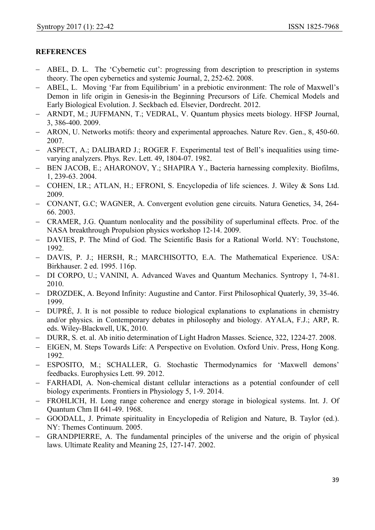## **REFERENCES**

- ABEL, D. L. The 'Cybernetic cut': progressing from description to prescription in systems theory. The open cybernetics and systemic Journal, 2, 252-62. 2008.
- ABEL, L. Moving 'Far from Equilibrium' in a prebiotic environment: The role of Maxwell's Demon in life origin in Genesis-in the Beginning Precursors of Life. Chemical Models and Early Biological Evolution. J. Seckbach ed. Elsevier, Dordrecht. 2012.
- ARNDT, M.; JUFFMANN, T.; VEDRAL, V. Quantum physics meets biology. HFSP Journal, 3, 386-400. 2009.
- ARON, U. Networks motifs: theory and experimental approaches. Nature Rev. Gen., 8, 450-60. 2007.
- ASPECT, A.; DALIBARD J.; ROGER F. Experimental test of Bell's inequalities using timevarying analyzers. Phys. Rev. Lett. 49, 1804-07. 1982.
- BEN JACOB, E.; AHARONOV, Y.; SHAPIRA Y., Bacteria harnessing complexity. Biofilms, 1, 239-63. 2004.
- COHEN, I.R.; ATLAN, H.; EFRONI, S. Encyclopedia of life sciences. J. Wiley & Sons Ltd. 2009.
- CONANT, G.C; WAGNER, A. Convergent evolution gene circuits. Natura Genetics, 34, 264-66. 2003.
- CRAMER, J.G. Quantum nonlocality and the possibility of superluminal effects. Proc. of the NASA breakthrough Propulsion physics workshop 12-14. 2009.
- DAVIES, P. The Mind of God. The Scientific Basis for a Rational World. NY: Touchstone, 1992.
- DAVIS, P. J.; HERSH, R.; MARCHISOTTO, E.A. The Mathematical Experience. USA: Birkhauser. 2 ed. 1995. 116p.
- DI CORPO, U.; VANINI, A. Advanced Waves and Quantum Mechanics. Syntropy 1, 74-81. 2010.
- DROZDEK, A. Beyond Infinity: Augustine and Cantor. First Philosophical Quaterly, 39, 35-46. 1999.
- DUPRÉ, J. It is not possible to reduce biological explanations to explanations in chemistry and/or physics. in Contemporary debates in philosophy and biology. AYALA, F.J.; ARP, R. eds. Wiley-Blackwell, UK, 2010.
- DURR, S. et. al. Ab initio determination of Light Hadron Masses. Science, 322, 1224-27. 2008.
- EIGEN, M. Steps Towards Life: A Perspective on Evolution. Oxford Univ. Press, Hong Kong. 1992.
- ESPOSITO, M.; SCHALLER, G. Stochastic Thermodynamics for 'Maxwell demons' feedbacks. Europhysics Lett. 99. 2012.
- FARHADI, A. Non-chemical distant cellular interactions as a potential confounder of cell biology experiments. Frontiers in Physiology 5, 1-9. 2014.
- FROHLICH, H. Long range coherence and energy storage in biological systems. Int. J. Of Quantum Chm II 641-49. 1968.
- GOODALL, J. Primate spirituality in Encyclopedia of Religion and Nature, B. Taylor (ed.). NY: Themes Continuum. 2005.
- GRANDPIERRE, A. The fundamental principles of the universe and the origin of physical laws. Ultimate Reality and Meaning 25, 127-147. 2002.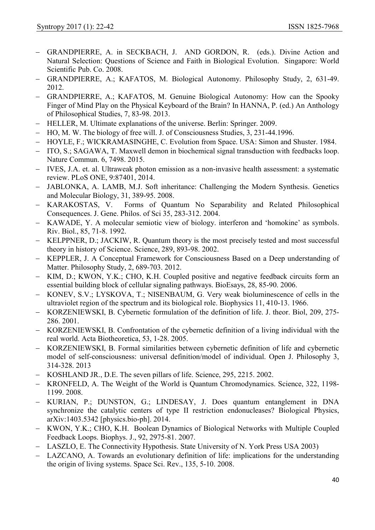- GRANDPIERRE, A. in SECKBACH, J. AND GORDON, R. (eds.). Divine Action and Natural Selection: Questions of Science and Faith in Biological Evolution. Singapore: World Scientific Pub. Co. 2008.
- GRANDPIERRE, A.; KAFATOS, M. Biological Autonomy. Philosophy Study, 2, 631-49. 2012.
- GRANDPIERRE, A.; KAFATOS, M. Genuine Biological Autonomy: How can the Spooky Finger of Mind Play on the Physical Keyboard of the Brain? In HANNA, P. (ed.) An Anthology of Philosophical Studies, 7, 83-98. 2013.
- HELLER, M. Ultimate explanations of the universe. Berlin: Springer. 2009.
- HO, M. W. The biology of free will. J. of Consciousness Studies, 3, 231-44.1996.
- HOYLE, F.; WICKRAMASINGHE, C. Evolution from Space. USA: Simon and Shuster. 1984.
- ITO, S.; SAGAWA, T. Maxwell demon in biochemical signal transduction with feedbacks loop. Nature Commun. 6, 7498. 2015.
- IVES, J.A. et. al. Ultraweak photon emission as a non-invasive health assessment: a systematic review. PLoS ONE, 9:87401, 2014.
- JABLONKA, A. LAMB, M.J. Soft inheritance: Challenging the Modern Synthesis. Genetics and Molecular Biology, 31, 389-95. 2008.
- KARAKOSTAS, V. Forms of Quantum No Separability and Related Philosophical Consequences. J. Gene. Philos. of Sci 35, 283-312. 2004.
- KAWADE, Y. A molecular semiotic view of biology. interferon and 'homokine' as symbols. Riv. Biol., 85, 71-8. 1992.
- KELPPNER, D.; JACKIW, R. Quantum theory is the most precisely tested and most successful theory in history of Science. Science, 289, 893-98. 2002.
- KEPPLER, J. A Conceptual Framework for Consciousness Based on a Deep understanding of Matter. Philosophy Study, 2, 689-703. 2012.
- KIM, D.; KWON, Y.K.; CHO, K.H. Coupled positive and negative feedback circuits form an essential building block of cellular signaling pathways. BioEsays, 28, 85-90. 2006.
- KONEV, S.V.; LYSKOVA, T.; NISENBAUM, G. Very weak bioluminescence of cells in the ultraviolet region of the spectrum and its biological role. Biophysics 11, 410-13. 1966.
- KORZENIEWSKI, B. Cybernetic formulation of the definition of life. J. theor. Biol, 209, 275-286. 2001.
- KORZENIEWSKI, B. Confrontation of the cybernetic definition of a living individual with the real world. Acta Biotheoretica, 53, 1-28. 2005.
- KORZENIEWSKI, B. Formal similarities between cybernetic definition of life and cybernetic model of self-consciousness: universal definition/model of individual. Open J. Philosophy 3, 314-328. 2013
- KOSHLAND JR., D.E. The seven pillars of life. Science, 295, 2215. 2002.
- KRONFELD, A. The Weight of the World is Quantum Chromodynamics. Science, 322, 1198-1199. 2008.
- KURIAN, P.; DUNSTON, G.; LINDESAY, J. Does quantum entanglement in DNA synchronize the catalytic centers of type II restriction endonucleases? Biological Physics, arXiv:1403.5342 [physics.bio-ph]. 2014.
- KWON, Y.K.; CHO, K.H. Boolean Dynamics of Biological Networks with Multiple Coupled Feedback Loops. Biophys. J., 92, 2975-81. 2007.
- LASZLO, E. The Connectivity Hypothesis. State University of N. York Press USA 2003)
- LAZCANO, A. Towards an evolutionary definition of life: implications for the understanding the origin of living systems. Space Sci. Rev., 135, 5-10. 2008.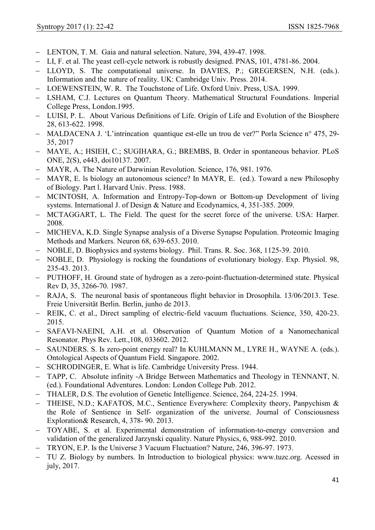- LENTON, T. M. Gaia and natural selection. Nature, 394, 439-47. 1998.
- LI, F. et al. The yeast cell-cycle network is robustly designed. PNAS, 101, 4781-86. 2004.
- LLOYD, S. The computational universe. In DAVIES, P.; GREGERSEN, N.H. (eds.). Information and the nature of reality. UK: Cambridge Univ. Press. 2014.
- LOEWENSTEIN, W. R. The Touchstone of Life. Oxford Univ. Press, USA. 1999.
- LSHAM, C.J. Lectures on Quantum Theory. Mathematical Structural Foundations. Imperial College Press, London.1995.
- LUISI, P. L. About Various Definitions of Life. Origin of Life and Evolution of the Biosphere 28, 613-622. 1998.
- MALDACENA J. 'L'intrincation quantique est-elle un trou de ver?" Porla Science n° 475, 29- 35, 2017
- MAYE, A.; HSIEH, C.; SUGIHARA, G.; BREMBS, B. Order in spontaneous behavior. PLoS ONE, 2(S), e443, doi10137. 2007.
- MAYR, A. The Nature of Darwinian Revolution. Science, 176, 981. 1976.
- MAYR, E. ls biology an autonomous science? In MAYR, E. (ed.). Toward a new Philosophy of Biology. Part l. Harvard Univ. Press. 1988.
- MCINTOSH, A. Information and Entropy-Top-down or Bottom-up Development of living systems. International J. of Design & Nature and Ecodynamics, 4, 351-385. 2009.
- MCTAGGART, L. The Field. The quest for the secret force of the universe. USA: Harper. 2008.
- MICHEVA, K.D. Single Synapse analysis of a Diverse Synapse Population. Proteomic Imaging Methods and Markers. Neuron 68, 639-653. 2010.
- NOBLE, D. Biophysics and systems biology. Phil. Trans. R. Soc. 368, 1125-39. 2010.
- NOBLE, D. Physiology is rocking the foundations of evolutionary biology. Exp. Physiol. 98, 235-43. 2013.
- PUTHOFF, H. Ground state of hydrogen as a zero-point-fluctuation-determined state. Physical Rev D, 35, 3266-70. 1987.
- RAJA, S. The neuronal basis of spontaneous flight behavior in Drosophila. 13/06/2013. Tese. Freie Universität Berlin. Berlin, junho de 2013.
- REIK, C. et al., Direct sampling of electric-field vacuum fluctuations. Science, 350, 420-23. 2015.
- SAFAVI-NAEINI, A.H. et al. Observation of Quantum Motion of a Nanomechanical Resonator. Phys Rev. Lett.,108, 033602. 2012.
- SAUNDERS. S. Is zero-point energy real? In KUHLMANN M., LYRE H., WAYNE A. (eds.). Ontological Aspects of Quantum Field. Singapore. 2002.
- SCHRODINGER, E. What is life. Cambridge University Press. 1944.
- TAPP, C. Absolute infinity -A Bridge Between Mathematics and Theology in TENNANT, N. (ed.). Foundational Adventures. London: London College Pub. 2012.
- THALER, D.S. The evolution of Genetic Intelligence. Science, 264, 224-25. 1994.
- THEISE, N.D.; KAFATOS, M.C., Sentience Everywhere: Complexity theory, Panpychism & the Role of Sentience in Self- organization of the universe. Journal of Consciousness Exploration& Research, 4, 378- 90. 2013.
- TOYABE, S. et al. Experimental demonstration of information-to-energy conversion and validation of the generalized Jarzynski equality. Nature Physics, 6, 988-992. 2010.
- TRYON, E.P. Is the Universe 3 Vacuum Fluctuation? Nature, 246, 396-97. 1973.
- TU Z. Biology by numbers. In Introduction to biological physics: www.tuzc.org. Acessed in july, 2017.